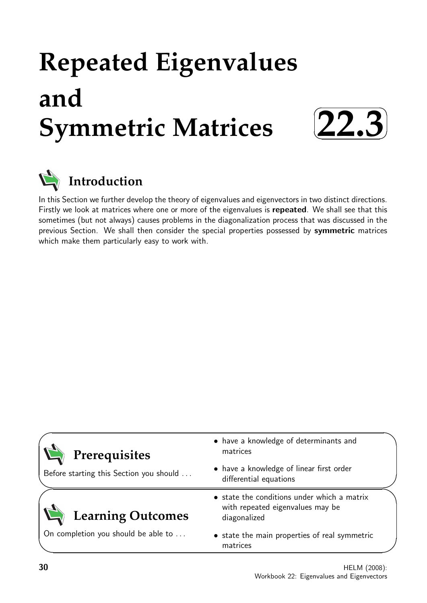# **Repeated Eigenvalues and Symmetric Matrices**





In this Section we further develop the theory of eigenvalues and eigenvectors in two distinct directions. Firstly we look at matrices where one or more of the eigenvalues is repeated. We shall see that this sometimes (but not always) causes problems in the diagonalization process that was discussed in the previous Section. We shall then consider the special properties possessed by symmetric matrices which make them particularly easy to work with.

| Prerequisites                           | • have a knowledge of determinants and<br>matrices                                              |
|-----------------------------------------|-------------------------------------------------------------------------------------------------|
| Before starting this Section you should | • have a knowledge of linear first order<br>differential equations                              |
| <b>Learning Outcomes</b>                | • state the conditions under which a matrix<br>with repeated eigenvalues may be<br>diagonalized |
| On completion you should be able to     | • state the main properties of real symmetric<br>matrices                                       |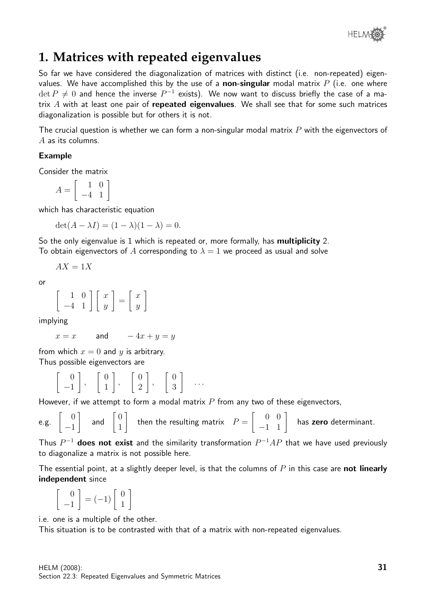

# **1. Matrices with repeated eigenvalues**

So far we have considered the diagonalization of matrices with distinct (i.e. non-repeated) eigenvalues. We have accomplished this by the use of a **non-singular** modal matrix  $P$  (i.e. one where  $\det P \neq 0$  and hence the inverse  $P^{-1}$  exists). We now want to discuss briefly the case of a matrix  $A$  with at least one pair of repeated eigenvalues. We shall see that for some such matrices diagonalization is possible but for others it is not.

The crucial question is whether we can form a non-singular modal matrix  $P$  with the eigenvectors of A as its columns.

## Example

Consider the matrix

$$
A = \left[ \begin{array}{rr} 1 & 0 \\ -4 & 1 \end{array} \right]
$$

which has characteristic equation

$$
\det(A - \lambda I) = (1 - \lambda)(1 - \lambda) = 0.
$$

So the only eigenvalue is 1 which is repeated or, more formally, has **multiplicity** 2. To obtain eigenvectors of A corresponding to  $\lambda = 1$  we proceed as usual and solve

$$
AX = 1X
$$

or

$$
\left[\begin{array}{cc} 1 & 0 \\ -4 & 1 \end{array}\right] \left[\begin{array}{c} x \\ y \end{array}\right] = \left[\begin{array}{c} x \\ y \end{array}\right]
$$

implying

$$
x = x \qquad \text{and} \qquad -4x + y = y
$$

from which  $x = 0$  and y is arbitrary. Thus possible eigenvectors are

> $\begin{bmatrix} 0 \end{bmatrix}$ −1 1 ,  $\begin{bmatrix} 0 \end{bmatrix}$ 1 1 ,  $\begin{bmatrix} 0 \end{bmatrix}$ 2 1 ,  $\begin{bmatrix} 0 \end{bmatrix}$ 3 1 . . .

However, if we attempt to form a modal matrix  $P$  from any two of these eigenvectors,

e.g. 
$$
\begin{bmatrix} 0 \\ -1 \end{bmatrix}
$$
 and  $\begin{bmatrix} 0 \\ 1 \end{bmatrix}$  then the resulting matrix  $P = \begin{bmatrix} 0 & 0 \\ -1 & 1 \end{bmatrix}$  has zero determinant.

Thus  $P^{-1}$  does not exist and the similarity transformation  $P^{-1}AP$  that we have used previously to diagonalize a matrix is not possible here.

The essential point, at a slightly deeper level, is that the columns of  $P$  in this case are **not linearly** independent since

 $\begin{bmatrix} 0 \end{bmatrix}$ −1  $= (-1) \left[ \begin{array}{c} 0 \\ 1 \end{array} \right]$ 1 1

i.e. one is a multiple of the other.

This situation is to be contrasted with that of a matrix with non-repeated eigenvalues.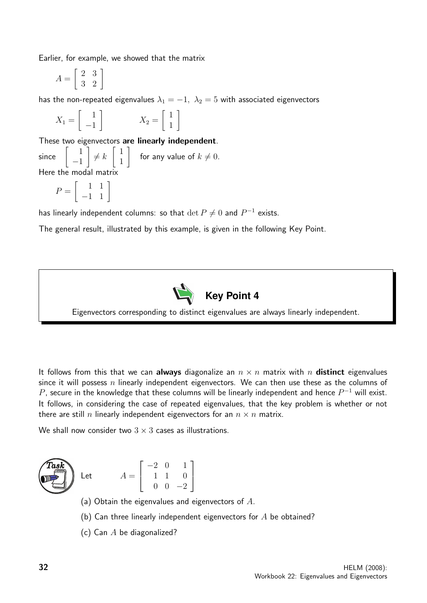Earlier, for example, we showed that the matrix

$$
A = \left[ \begin{array}{cc} 2 & 3 \\ 3 & 2 \end{array} \right]
$$

has the non-repeated eigenvalues  $\lambda_1 = -1$ ,  $\lambda_2 = 5$  with associated eigenvectors

$$
X_1 = \begin{bmatrix} 1 \\ -1 \end{bmatrix} \qquad \qquad X_2 = \begin{bmatrix} 1 \\ 1 \end{bmatrix}
$$

These two eigenvectors are linearly independent.

since 1 −1 1  $\neq k$  $\lceil 1 \rceil$ 1 1 for any value of  $k \neq 0$ . Here the modal matrix

$$
P = \left[ \begin{array}{rr} 1 & 1 \\ -1 & 1 \end{array} \right]
$$

has linearly independent columns: so that  $\det P \neq 0$  and  $P^{-1}$  exists.

The general result, illustrated by this example, is given in the following Key Point.



Eigenvectors corresponding to distinct eigenvalues are always linearly independent.

It follows from this that we can always diagonalize an  $n \times n$  matrix with n distinct eigenvalues since it will possess n linearly independent eigenvectors. We can then use these as the columns of  $P$ , secure in the knowledge that these columns will be linearly independent and hence  $P^{-1}$  will exist. It follows, in considering the case of repeated eigenvalues, that the key problem is whether or not there are still n linearly independent eigenvectors for an  $n \times n$  matrix.

We shall now consider two  $3 \times 3$  cases as illustrations.



 $Let$ 

$$
A = \left[ \begin{array}{rrr} -2 & 0 & 1 \\ 1 & 1 & 0 \\ 0 & 0 & -2 \end{array} \right]
$$

- (a) Obtain the eigenvalues and eigenvectors of  $A$ .
- (b) Can three linearly independent eigenvectors for  $A$  be obtained?
- (c) Can  $A$  be diagonalized?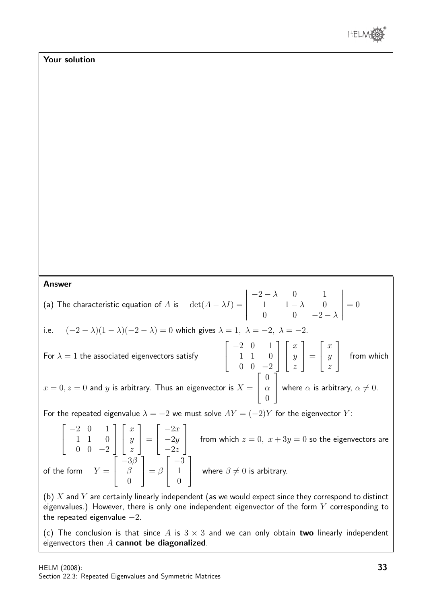

### Your solution

#### Answer

(a) The characteristic equation of A is  $\det(A - \lambda I) =$   $-2-\lambda$  0 1 1  $1 - \lambda$  0 0 0  $-2-\lambda$   $= 0$ i.e.  $(-2 - \lambda)(1 - \lambda)(-2 - \lambda) = 0$  which gives  $\lambda = 1, \lambda = -2, \lambda = -2$ . For  $\lambda = 1$  the associated eigenvectors satisfy  $\sqrt{ }$  $\overline{\phantom{a}}$ −2 0 1 1 1 0  $0 \t 0 \t -2$ 1  $\overline{1}$  $\sqrt{ }$  $\overline{\phantom{a}}$  $\overline{x}$  $\hat{y}$ z 1  $\Big\} =$  $\sqrt{ }$  $\overline{\phantom{a}}$  $\overline{x}$  $\hat{y}$ z 1 from which  $x = 0, z = 0$  and y is arbitrary. Thus an eigenvector is  $X = 0$  $\sqrt{ }$  $\overline{\phantom{a}}$ 0  $\alpha$ 0 1 where  $\alpha$  is arbitrary,  $\alpha \neq 0$ . For the repeated eigenvalue  $\lambda = -2$  we must solve  $AY = (-2)Y$  for the eigenvector Y:  $\sqrt{ }$  $\overline{\phantom{a}}$ −2 0 1 1 1 0  $0 \t 0 \t -2$ 1  $\overline{1}$  $\sqrt{ }$  $\overline{1}$  $\overline{x}$  $\hat{y}$ z 1  $\Big| =$  $\sqrt{ }$  $\overline{\phantom{a}}$  $-2x$  $-2y$  $-2z$ 1 from which  $z = 0$ ,  $x + 3y = 0$  so the eigenvectors are of the form  $Y =$  $\sqrt{ }$  $\overline{1}$  $-3\beta$ β 0 1  $\Big| = \beta$  $\sqrt{ }$  $\overline{\phantom{a}}$ −3 1  $\overline{0}$ 1 where  $\beta \neq 0$  is arbitrary. (b)  $X$  and  $Y$  are certainly linearly independent (as we would expect since they correspond to distinct eigenvalues.) However, there is only one independent eigenvector of the form  $Y$  corresponding to the repeated eigenvalue  $-2$ .

(c) The conclusion is that since A is  $3 \times 3$  and we can only obtain two linearly independent eigenvectors then  $A$  cannot be diagonalized.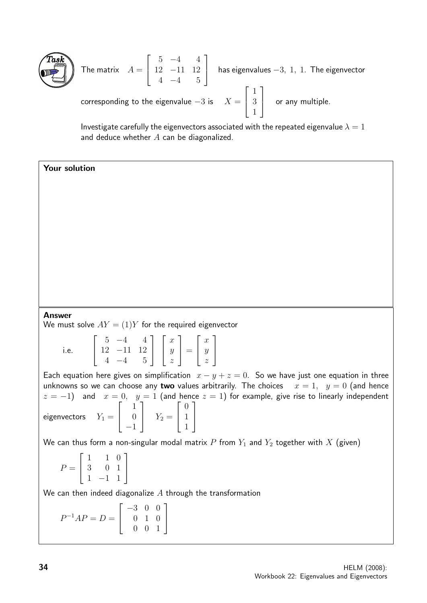

The matrix 
$$
A = \begin{bmatrix} 5 & -4 & 4 \ 12 & -11 & 12 \ 4 & -4 & 5 \end{bmatrix}
$$
 has eigenvalues -3, 1, 1. The eigenvector corresponding to the eigenvalue -3 is  $X = \begin{bmatrix} 1 \ 3 \ 1 \end{bmatrix}$  or any multiple.

Investigate carefully the eigenvectors associated with the repeated eigenvalue  $\lambda = 1$ and deduce whether  $A$  can be diagonalized.

Your solution

#### Answer

We must solve  $AY = (1)Y$  for the required eigenvector

i.e.  $\sqrt{ }$  $\overline{1}$  $5 -4 4$ 12 −11 12  $4 -4 5$ 1  $\overline{1}$  $\sqrt{ }$  $\overline{\phantom{a}}$  $\overline{x}$  $\hat{y}$ z 1  $\Big| =$  $\sqrt{ }$  $\overline{\phantom{a}}$  $\boldsymbol{x}$  $\hat{y}$ z 1  $\overline{1}$ 

Each equation here gives on simplification  $x - y + z = 0$ . So we have just one equation in three unknowns so we can choose any two values arbitrarily. The choices  $x = 1$ ,  $y = 0$  (and hence  $z = -1$ ) and  $x = 0$ ,  $y = 1$  (and hence  $z = 1$ ) for example, give rise to linearly independent eigenvectors  $Y_1 =$  $\sqrt{ }$  $\overline{\phantom{a}}$ 1 0 −1 1  $\begin{array}{|c|c|c|c|c|} \hline & Y_2 = & \hline \end{array}$  $\sqrt{ }$  $\overline{1}$  $\overline{0}$ 1 1 1  $\overline{1}$ 

We can thus form a non-singular modal matrix P from  $Y_1$  and  $Y_2$  together with X (given)

$$
P = \left[ \begin{array}{rrr} 1 & 1 & 0 \\ 3 & 0 & 1 \\ 1 & -1 & 1 \end{array} \right]
$$

We can then indeed diagonalize  $A$  through the transformation

 $P^{-1}AP = D =$  $\sqrt{ }$  $\overline{\phantom{a}}$ −3 0 0 0 1 0 0 0 1 1  $\overline{1}$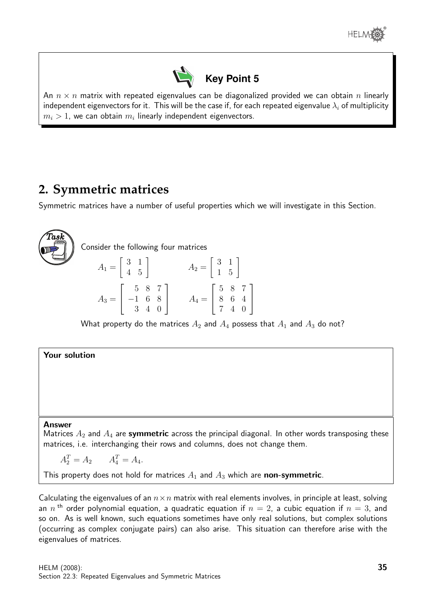



An  $n \times n$  matrix with repeated eigenvalues can be diagonalized provided we can obtain n linearly independent eigenvectors for it. This will be the case if, for each repeated eigenvalue  $\lambda_i$  of multiplicity  $m_i>1$ , we can obtain  $m_i$  linearly independent eigenvectors.

# **2. Symmetric matrices**

Symmetric matrices have a number of useful properties which we will investigate in this Section.



What property do the matrices  $A_2$  and  $A_4$  possess that  $A_1$  and  $A_3$  do not?

Your solution

#### Answer

Matrices  $A_2$  and  $A_4$  are symmetric across the principal diagonal. In other words transposing these matrices, i.e. interchanging their rows and columns, does not change them.

 $A_2^T = A_2 \qquad A_4^T = A_4.$ 

This property does not hold for matrices  $A_1$  and  $A_3$  which are **non-symmetric**.

Calculating the eigenvalues of an  $n \times n$  matrix with real elements involves, in principle at least, solving an  $n$  <sup>th</sup> order polynomial equation, a quadratic equation if  $n=2$ , a cubic equation if  $n=3$ , and so on. As is well known, such equations sometimes have only real solutions, but complex solutions (occurring as complex conjugate pairs) can also arise. This situation can therefore arise with the eigenvalues of matrices.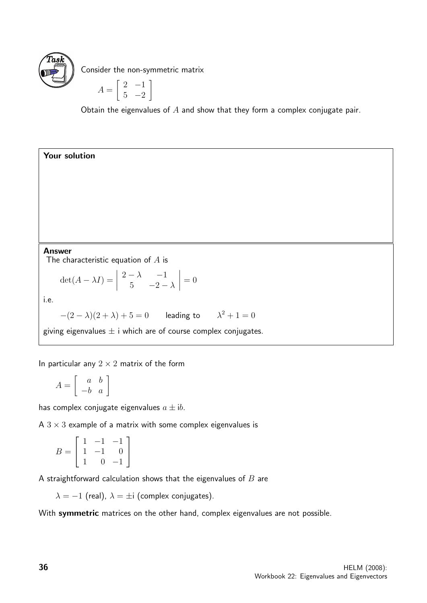

Consider the non-symmetric matrix

$$
A = \left[ \begin{array}{cc} 2 & -1 \\ 5 & -2 \end{array} \right]
$$

Obtain the eigenvalues of  $A$  and show that they form a complex conjugate pair.

Answer

Your solution

The characteristic equation of  $A$  is

 $\det(A - \lambda I) =$   $2 - \lambda$  −1 5  $-2-\lambda$   $= 0$ 

i.e.

 $-(2-\lambda)(2+\lambda)+5=0$  leading to  $\lambda^2+1=0$ 

giving eigenvalues  $\pm$  i which are of course complex conjugates.

In particular any  $2 \times 2$  matrix of the form

 $A =$  $\left[\begin{array}{cc} a & b \\ -b & a \end{array}\right]$ 

has complex conjugate eigenvalues  $a \pm ib$ .

A  $3 \times 3$  example of a matrix with some complex eigenvalues is

$$
B = \left[ \begin{array}{rrr} 1 & -1 & -1 \\ 1 & -1 & 0 \\ 1 & 0 & -1 \end{array} \right]
$$

A straightforward calculation shows that the eigenvalues of  $B$  are

 $\lambda = -1$  (real),  $\lambda = \pm i$  (complex conjugates).

With symmetric matrices on the other hand, complex eigenvalues are not possible.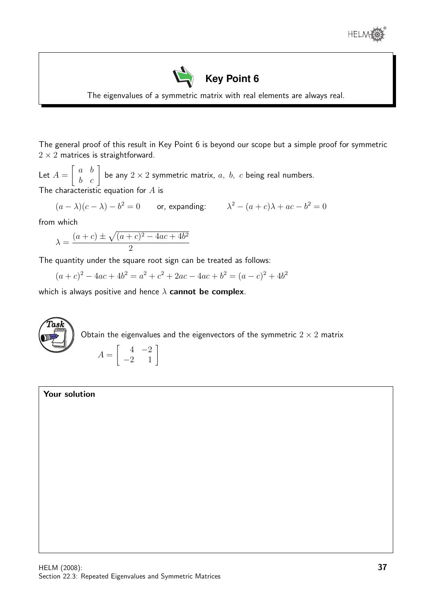



The eigenvalues of a symmetric matrix with real elements are always real.

The general proof of this result in Key Point 6 is beyond our scope but a simple proof for symmetric  $2 \times 2$  matrices is straightforward.

Let  $A =$  $\begin{bmatrix} a & b \\ b & c \end{bmatrix}$  be any  $2 \times 2$  symmetric matrix,  $a, b, c$  being real numbers. The characteristic equation for  $A$  is

$$
(a - \lambda)(c - \lambda) - b^2 = 0
$$
 or, expanding:  $\lambda^2 - (a + c)\lambda + ac - b^2 = 0$ 

from which

$$
\lambda = \frac{(a+c) \pm \sqrt{(a+c)^2 - 4ac + 4b^2}}{2}
$$

The quantity under the square root sign can be treated as follows:

 $(a + c)<sup>2</sup> - 4ac + 4b<sup>2</sup> = a<sup>2</sup> + c<sup>2</sup> + 2ac - 4ac + b<sup>2</sup> = (a - c)<sup>2</sup> + 4b<sup>2</sup>$ 

which is always positive and hence  $\lambda$  cannot be complex.



#### Your solution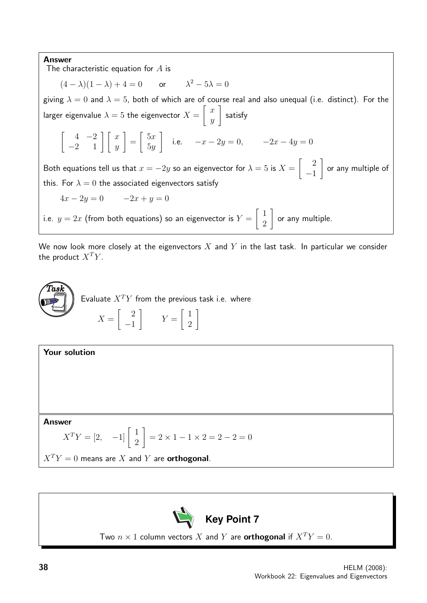#### Answer

The characteristic equation for  $A$  is

 $(4 - \lambda)(1 - \lambda) + 4 = 0$  or  $\lambda^2 - 5\lambda = 0$ 

giving  $\lambda = 0$  and  $\lambda = 5$ , both of which are of course real and also unequal (i.e. distinct). For the larger eigenvalue  $\lambda = 5$  the eigenvector  $X =$  $\lceil x \rceil$  $\hat{y}$ 1 satisfy

$$
\begin{bmatrix} 4 & -2 \ -2 & 1 \end{bmatrix} \begin{bmatrix} x \ y \end{bmatrix} = \begin{bmatrix} 5x \ 5y \end{bmatrix}
$$
 i.e.  $-x - 2y = 0$ ,  $-2x - 4y = 0$ 

Both equations tell us that  $x = -2y$  so an eigenvector for  $\lambda = 5$  is  $X =$  $\begin{bmatrix} 2 \end{bmatrix}$ −1 1 or any multiple of this. For  $\lambda = 0$  the associated eigenvectors satisfy

$$
4x - 2y = 0 \qquad -2x + y = 0
$$

i.e.  $y=2x$  (from both equations) so an eigenvector is  $Y=$  $\lceil 1$ 2 1 or any multiple.

We now look more closely at the eigenvectors  $X$  and  $Y$  in the last task. In particular we consider the product  $X^TY$ .







Two  $n \times 1$  column vectors X and Y are **orthogonal** if  $X^T Y = 0$ .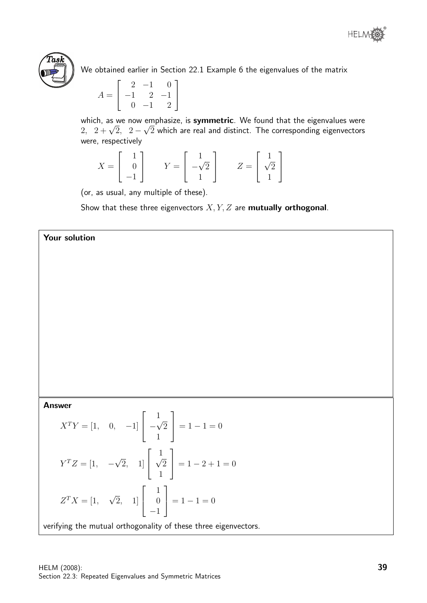



We obtained earlier in Section 22.1 Example 6 the eigenvalues of the matrix

$$
A = \begin{bmatrix} 2 & -1 & 0 \\ -1 & 2 & -1 \\ 0 & -1 & 2 \end{bmatrix}
$$

which, as we now emphasize, is symmetric. We found that the eigenvalues were which, as we now empnasize, is symmetric. We found that the eigenvalues were<br>2,  $2+\sqrt{2},\ \ 2-\sqrt{2}$  which are real and distinct. The corresponding eigenvectors were, respectively

$$
X = \begin{bmatrix} 1 \\ 0 \\ -1 \end{bmatrix} \qquad Y = \begin{bmatrix} 1 \\ -\sqrt{2} \\ 1 \end{bmatrix} \qquad Z = \begin{bmatrix} 1 \\ \sqrt{2} \\ 1 \end{bmatrix}
$$

(or, as usual, any multiple of these).

Show that these three eigenvectors  $X, Y, Z$  are **mutually orthogonal**.

# Your solution

## Answer

$$
X^{T}Y = \begin{bmatrix} 1, & 0, & -1 \end{bmatrix} \begin{bmatrix} 1 \\ -\sqrt{2} \\ 1 \end{bmatrix} = 1 - 1 = 0
$$
  

$$
Y^{T}Z = \begin{bmatrix} 1, & -\sqrt{2}, & 1 \end{bmatrix} \begin{bmatrix} 1 \\ \sqrt{2} \\ 1 \end{bmatrix} = 1 - 2 + 1 = 0
$$
  

$$
Z^{T}X = \begin{bmatrix} 1, & \sqrt{2}, & 1 \end{bmatrix} \begin{bmatrix} 1 \\ 0 \\ -1 \end{bmatrix} = 1 - 1 = 0
$$

verifying the mutual orthogonality of these three eigenvectors.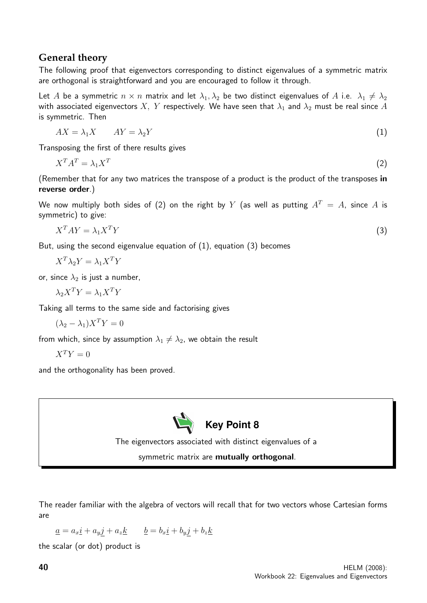# **General theory**

The following proof that eigenvectors corresponding to distinct eigenvalues of a symmetric matrix are orthogonal is straightforward and you are encouraged to follow it through.

Let A be a symmetric  $n \times n$  matrix and let  $\lambda_1, \lambda_2$  be two distinct eigenvalues of A i.e.  $\lambda_1 \neq \lambda_2$ with associated eigenvectors X, Y respectively. We have seen that  $\lambda_1$  and  $\lambda_2$  must be real since A is symmetric. Then

$$
AX = \lambda_1 X \qquad AY = \lambda_2 Y \tag{1}
$$

Transposing the first of there results gives

$$
X^T A^T = \lambda_1 X^T \tag{2}
$$

(Remember that for any two matrices the transpose of a product is the product of the transposes in reverse order.)

We now multiply both sides of (2) on the right by Y (as well as putting  $A<sup>T</sup> = A$ , since A is symmetric) to give:

$$
X^T A Y = \lambda_1 X^T Y \tag{3}
$$

But, using the second eigenvalue equation of  $(1)$ , equation  $(3)$  becomes

$$
X^T \lambda_2 Y = \lambda_1 X^T Y
$$

or, since  $\lambda_2$  is just a number,

 $\lambda_2 X^T Y = \lambda_1 X^T Y$ 

Taking all terms to the same side and factorising gives

$$
(\lambda_2 - \lambda_1)X^T Y = 0
$$

from which, since by assumption  $\lambda_1 \neq \lambda_2$ , we obtain the result

$$
X^TY=0
$$

and the orthogonality has been proved.



The eigenvectors associated with distinct eigenvalues of a

symmetric matrix are mutually orthogonal.

The reader familiar with the algebra of vectors will recall that for two vectors whose Cartesian forms are

$$
\underline{a} = a_x \underline{i} + a_y \underline{j} + a_z \underline{k} \qquad \underline{b} = b_x \underline{i} + b_y \underline{j} + b_z \underline{k}
$$

the scalar (or dot) product is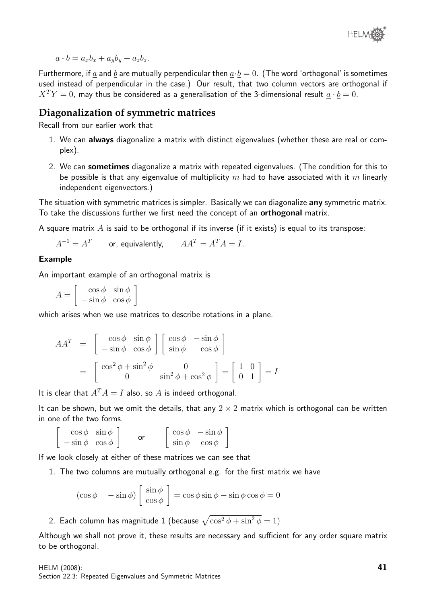

 $\underline{a} \cdot \underline{b} = a_x b_x + a_y b_y + a_z b_z.$ 

Furthermore, if  $\underline{a}$  and  $\underline{b}$  are mutually perpendicular then  $\underline{a} \cdot \underline{b} = 0$ . (The word 'orthogonal' is sometimes used instead of perpendicular in the case.) Our result, that two column vectors are orthogonal if  $X^T Y = 0$ , may thus be considered as a generalisation of the 3-dimensional result  $\underline{a} \cdot \underline{b} = 0$ .

# **Diagonalization of symmetric matrices**

Recall from our earlier work that

- 1. We can always diagonalize a matrix with distinct eigenvalues (whether these are real or complex).
- 2. We can **sometimes** diagonalize a matrix with repeated eigenvalues. (The condition for this to be possible is that any eigenvalue of multiplicity  $m$  had to have associated with it  $m$  linearly independent eigenvectors.)

The situation with symmetric matrices is simpler. Basically we can diagonalize **any** symmetric matrix. To take the discussions further we first need the concept of an **orthogonal** matrix.

A square matrix  $A$  is said to be orthogonal if its inverse (if it exists) is equal to its transpose:

 $A^{-1} = A^T$  or, equivalently,  $AA^T = A^T A = I.$ 

#### Example

An important example of an orthogonal matrix is

 $A =$  $\int \cos \phi \sin \phi$  $-\sin\phi \cos\phi$ 1

which arises when we use matrices to describe rotations in a plane.

$$
AA^{T} = \begin{bmatrix} \cos \phi & \sin \phi \\ -\sin \phi & \cos \phi \end{bmatrix} \begin{bmatrix} \cos \phi & -\sin \phi \\ \sin \phi & \cos \phi \end{bmatrix}
$$

$$
= \begin{bmatrix} \cos^{2} \phi + \sin^{2} \phi & 0 \\ 0 & \sin^{2} \phi + \cos^{2} \phi \end{bmatrix} = \begin{bmatrix} 1 & 0 \\ 0 & 1 \end{bmatrix} = I
$$

It is clear that  $A^T A = I$  also, so A is indeed orthogonal.

It can be shown, but we omit the details, that any  $2 \times 2$  matrix which is orthogonal can be written in one of the two forms.

$$
\begin{bmatrix}\n\cos \phi & \sin \phi \\
-\sin \phi & \cos \phi\n\end{bmatrix}\n\quad \text{or} \quad\n\begin{bmatrix}\n\cos \phi & -\sin \phi \\
\sin \phi & \cos \phi\n\end{bmatrix}
$$

If we look closely at either of these matrices we can see that

1. The two columns are mutually orthogonal e.g. for the first matrix we have

$$
(\cos \phi - \sin \phi) \begin{bmatrix} \sin \phi \\ \cos \phi \end{bmatrix} = \cos \phi \sin \phi - \sin \phi \cos \phi = 0
$$

2. Each column has magnitude 1 (because  $\sqrt{\cos^2\phi+\sin^2\phi}=1)$ 

Although we shall not prove it, these results are necessary and sufficient for any order square matrix to be orthogonal.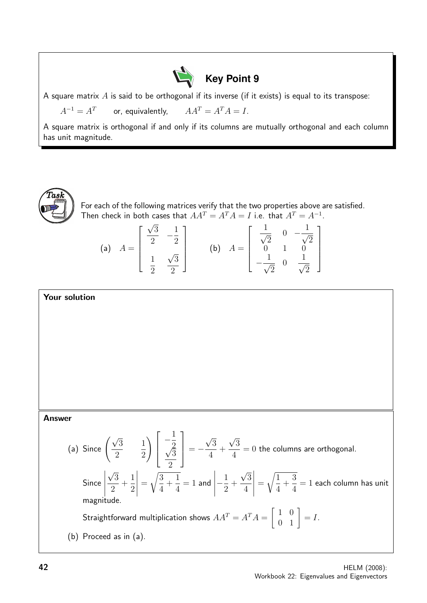

A square matrix  $A$  is said to be orthogonal if its inverse (if it exists) is equal to its transpose:

 $A^{-1} = A^T$ or, equivalently,  $AA^T = A^T A = I.$ 

A square matrix is orthogonal if and only if its columns are mutually orthogonal and each column has unit magnitude.



For each of the following matrices verify that the two properties above are satisfied. Then check in both cases that  $AA^T = A^TA = I$  i.e. that  $A^T = A^{-1}$ . √

(a) 
$$
A = \begin{bmatrix} \frac{\sqrt{3}}{2} & -\frac{1}{2} \\ \frac{1}{2} & \frac{\sqrt{3}}{2} \end{bmatrix}
$$
 (b)  $A = \begin{bmatrix} \frac{1}{\sqrt{2}} & 0 & -\frac{1}{\sqrt{2}} \\ 0 & 1 & 0 \\ -\frac{1}{\sqrt{2}} & 0 & \frac{1}{\sqrt{2}} \end{bmatrix}$ 

# Your solution

Answer

(a) Since 
$$
\left(\frac{\sqrt{3}}{2} - \frac{1}{2}\right)\left[\frac{-\frac{1}{2}}{\frac{\sqrt{3}}{2}}\right] = -\frac{\sqrt{3}}{4} + \frac{\sqrt{3}}{4} = 0
$$
 the columns are orthogonal.  
\nSince  $\left|\frac{\sqrt{3}}{2} + \frac{1}{2}\right| = \sqrt{\frac{3}{4} + \frac{1}{4}} = 1$  and  $\left|-\frac{1}{2} + \frac{\sqrt{3}}{4}\right| = \sqrt{\frac{1}{4} + \frac{3}{4}} = 1$  each column has unit magnitude.  
\nStraightforward multiplication shows  $AA^T = A^T A = \begin{bmatrix} 1 & 0 \\ 0 & 1 \end{bmatrix} = I$ .  
\n(b) Proceed as in (a).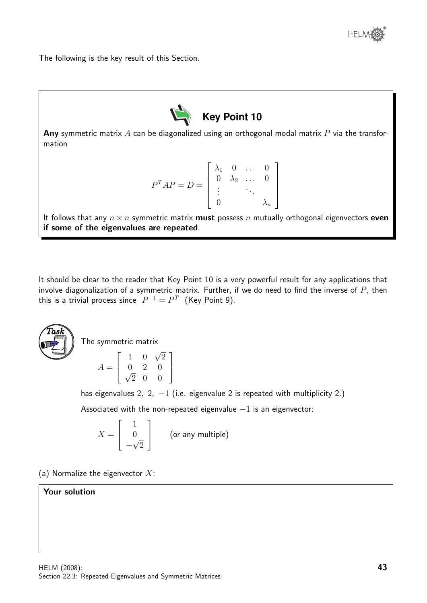

The following is the key result of this Section.



Any symmetric matrix  $A$  can be diagonalized using an orthogonal modal matrix  $P$  via the transformation

$$
P^{T}AP = D = \left[ \begin{array}{cccc} \lambda_1 & 0 & \dots & 0 \\ 0 & \lambda_2 & \dots & 0 \\ \vdots & & \ddots & \\ 0 & & & \lambda_n \end{array} \right]
$$

It follows that any  $n \times n$  symmetric matrix **must** possess n mutually orthogonal eigenvectors **even** if some of the eigenvalues are repeated.

It should be clear to the reader that Key Point 10 is a very powerful result for any applications that involve diagonalization of a symmetric matrix. Further, if we do need to find the inverse of  $P$ , then this is a trivial process since  $P^{-1} = P^{T}$  (Key Point 9).



The symmetric matrix

$$
A = \left[ \begin{array}{rrr} 1 & 0 & \sqrt{2} \\ 0 & 2 & 0 \\ \sqrt{2} & 0 & 0 \end{array} \right]
$$

has eigenvalues 2, 2,  $-1$  (i.e. eigenvalue 2 is repeated with multiplicity 2.)

Associated with the non-repeated eigenvalue  $-1$  is an eigenvector:

$$
X = \begin{bmatrix} 1 \\ 0 \\ -\sqrt{2} \end{bmatrix}
$$
 (or any multiple)

(a) Normalize the eigenvector  $X$ :

# Your solution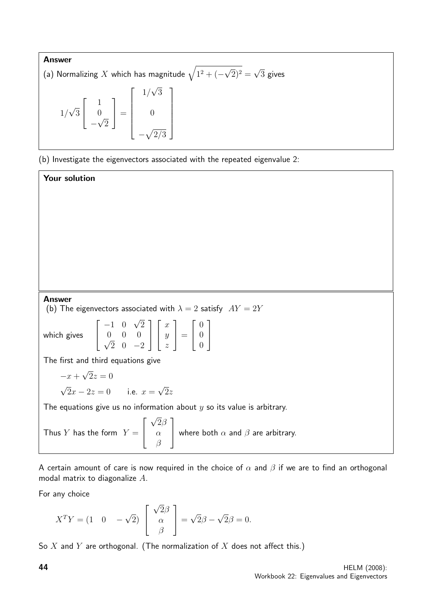**Answer**  
\n(a) Normalizing *X* which has magnitude 
$$
\sqrt{1^2 + (-\sqrt{2})^2} = \sqrt{3}
$$
 gives  
\n $1/\sqrt{3}\begin{bmatrix} 1 \\ 0 \\ -\sqrt{2} \end{bmatrix} = \begin{bmatrix} 1/\sqrt{3} \\ 0 \\ -\sqrt{2/3} \end{bmatrix}$ 

(b) Investigate the eigenvectors associated with the repeated eigenvalue 2:

Answer (b) The eigenvectors associated with  $\lambda = 2$  satisfy  $AY = 2Y$ which gives  $\sqrt{ }$  $\overline{\phantom{a}}$  $-1$  0  $\sqrt{2}$  $0 \t 0 \t 0$  $2 \t 0 \t -2$ 1  $\overline{1}$  $\sqrt{ }$  $\overline{\phantom{a}}$  $\boldsymbol{x}$  $\hat{y}$ z 1  $\Big| =$  $\sqrt{ }$  $\overline{\phantom{a}}$ 0 0 0 1  $\overline{ }$ The first and third equations give  $-x+$ √  $2z=0$ √  $2x - 2z = 0$  i.e.  $x =$ √  $2z$ The equations give us no information about  $y$  so its value is arbitrary. Thus Y has the form  $Y =$  $\sqrt{ }$  $\overline{\phantom{a}}$ √  $2\beta$  $\alpha$ 1 where both  $\alpha$  and  $\beta$  are arbitrary.

A certain amount of care is now required in the choice of  $\alpha$  and  $\beta$  if we are to find an orthogonal modal matrix to diagonalize A.

For any choice

Your solution

$$
X^{T}Y = (1 \quad 0 \quad -\sqrt{2}) \begin{bmatrix} \sqrt{2}\beta \\ \alpha \\ \beta \end{bmatrix} = \sqrt{2}\beta - \sqrt{2}\beta = 0.
$$

β

So  $X$  and  $Y$  are orthogonal. (The normalization of  $X$  does not affect this.)